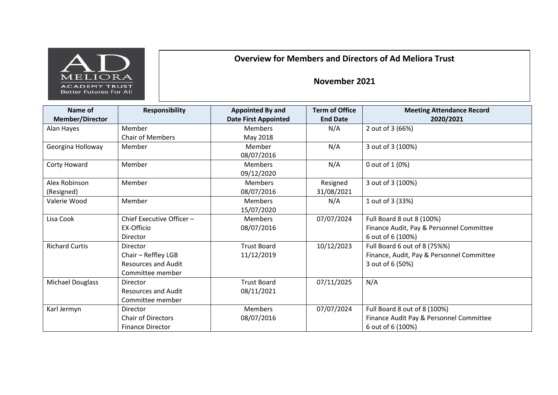

## **Overview for Members and Directors of Ad Meliora Trust**

## **November 2021**

| Name of<br><b>Member/Director</b> | <b>Responsibility</b>                                                                    | <b>Appointed By and</b><br><b>Date First Appointed</b> | <b>Term of Office</b><br><b>End Date</b> | <b>Meeting Attendance Record</b><br>2020/2021                                                 |
|-----------------------------------|------------------------------------------------------------------------------------------|--------------------------------------------------------|------------------------------------------|-----------------------------------------------------------------------------------------------|
| Alan Hayes                        | Member                                                                                   | <b>Members</b>                                         | N/A                                      | 2 out of 3 (66%)                                                                              |
|                                   | <b>Chair of Members</b>                                                                  | May 2018                                               |                                          |                                                                                               |
| Georgina Holloway                 | Member                                                                                   | Member<br>08/07/2016                                   | N/A                                      | 3 out of 3 (100%)                                                                             |
| Corty Howard                      | Member                                                                                   | <b>Members</b><br>09/12/2020                           | N/A                                      | 0 out of 1 (0%)                                                                               |
| Alex Robinson<br>(Resigned)       | Member                                                                                   | <b>Members</b><br>08/07/2016                           | Resigned<br>31/08/2021                   | 3 out of 3 (100%)                                                                             |
| Valerie Wood                      | Member                                                                                   | <b>Members</b><br>15/07/2020                           | N/A                                      | 1 out of 3 (33%)                                                                              |
| Lisa Cook                         | Chief Executive Officer -<br>EX-Officio<br>Director                                      | <b>Members</b><br>08/07/2016                           | 07/07/2024                               | Full Board 8 out 8 (100%)<br>Finance Audit, Pay & Personnel Committee<br>6 out of 6 (100%)    |
| <b>Richard Curtis</b>             | <b>Director</b><br>Chair - Reffley LGB<br><b>Resources and Audit</b><br>Committee member | <b>Trust Board</b><br>11/12/2019                       | 10/12/2023                               | Full Board 6 out of 8 (75%%)<br>Finance, Audit, Pay & Personnel Committee<br>3 out of 6 (50%) |
| <b>Michael Douglass</b>           | Director<br><b>Resources and Audit</b><br>Committee member                               | <b>Trust Board</b><br>08/11/2021                       | 07/11/2025                               | N/A                                                                                           |
| Karl Jermyn                       | Director<br><b>Chair of Directors</b><br><b>Finance Director</b>                         | <b>Members</b><br>08/07/2016                           | 07/07/2024                               | Full Board 8 out of 8 (100%)<br>Finance Audit Pay & Personnel Committee<br>6 out of 6 (100%)  |